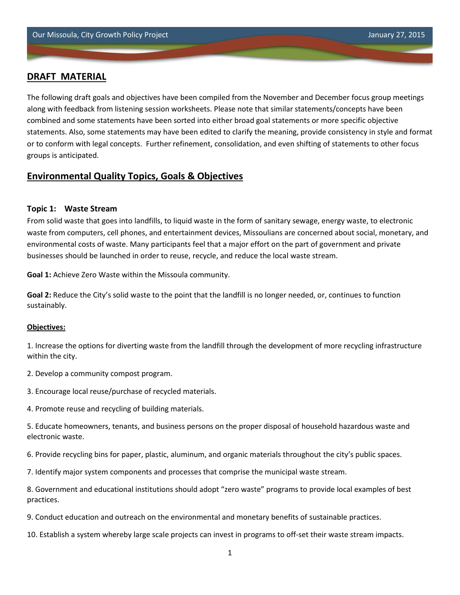## **DRAFT MATERIAL**

The following draft goals and objectives have been compiled from the November and December focus group meetings along with feedback from listening session worksheets. Please note that similar statements/concepts have been combined and some statements have been sorted into either broad goal statements or more specific objective statements. Also, some statements may have been edited to clarify the meaning, provide consistency in style and format or to conform with legal concepts. Further refinement, consolidation, and even shifting of statements to other focus groups is anticipated.

# **Environmental Quality Topics, Goals & Objectives**

## **Topic 1: Waste Stream**

From solid waste that goes into landfills, to liquid waste in the form of sanitary sewage, energy waste, to electronic waste from computers, cell phones, and entertainment devices, Missoulians are concerned about social, monetary, and environmental costs of waste. Many participants feel that a major effort on the part of government and private businesses should be launched in order to reuse, recycle, and reduce the local waste stream.

**Goal 1:** Achieve Zero Waste within the Missoula community.

**Goal 2:** Reduce the City's solid waste to the point that the landfill is no longer needed, or, continues to function sustainably.

#### **Objectives:**

1. Increase the options for diverting waste from the landfill through the development of more recycling infrastructure within the city.

2. Develop a community compost program.

- 3. Encourage local reuse/purchase of recycled materials.
- 4. Promote reuse and recycling of building materials.

5. Educate homeowners, tenants, and business persons on the proper disposal of household hazardous waste and electronic waste.

6. Provide recycling bins for paper, plastic, aluminum, and organic materials throughout the city's public spaces.

7. Identify major system components and processes that comprise the municipal waste stream.

8. Government and educational institutions should adopt "zero waste" programs to provide local examples of best practices.

9. Conduct education and outreach on the environmental and monetary benefits of sustainable practices.

10. Establish a system whereby large scale projects can invest in programs to off-set their waste stream impacts.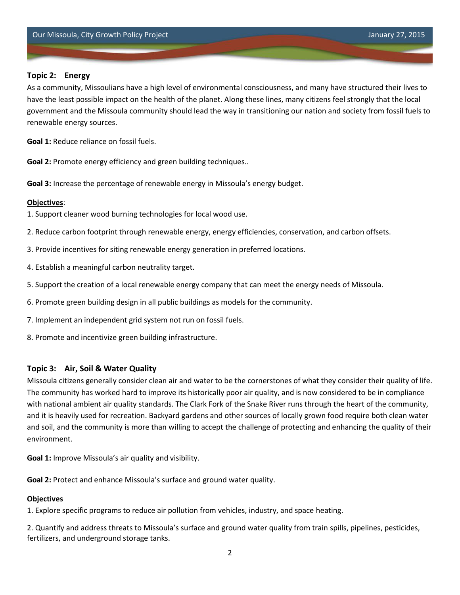## **Topic 2: Energy**

As a community, Missoulians have a high level of environmental consciousness, and many have structured their lives to have the least possible impact on the health of the planet. Along these lines, many citizens feel strongly that the local government and the Missoula community should lead the way in transitioning our nation and society from fossil fuels to renewable energy sources.

**Goal 1:** Reduce reliance on fossil fuels.

**Goal 2:** Promote energy efficiency and green building techniques..

**Goal 3:** Increase the percentage of renewable energy in Missoula's energy budget.

## **Objectives**:

1. Support cleaner wood burning technologies for local wood use.

- 2. Reduce carbon footprint through renewable energy, energy efficiencies, conservation, and carbon offsets.
- 3. Provide incentives for siting renewable energy generation in preferred locations.
- 4. Establish a meaningful carbon neutrality target.
- 5. Support the creation of a local renewable energy company that can meet the energy needs of Missoula.
- 6. Promote green building design in all public buildings as models for the community.
- 7. Implement an independent grid system not run on fossil fuels.
- 8. Promote and incentivize green building infrastructure.

## **Topic 3: Air, Soil & Water Quality**

Missoula citizens generally consider clean air and water to be the cornerstones of what they consider their quality of life. The community has worked hard to improve its historically poor air quality, and is now considered to be in compliance with national ambient air quality standards. The Clark Fork of the Snake River runs through the heart of the community, and it is heavily used for recreation. Backyard gardens and other sources of locally grown food require both clean water and soil, and the community is more than willing to accept the challenge of protecting and enhancing the quality of their environment.

**Goal 1:** Improve Missoula's air quality and visibility.

**Goal 2:** Protect and enhance Missoula's surface and ground water quality.

## **Objectives**

1. Explore specific programs to reduce air pollution from vehicles, industry, and space heating.

2. Quantify and address threats to Missoula's surface and ground water quality from train spills, pipelines, pesticides, fertilizers, and underground storage tanks.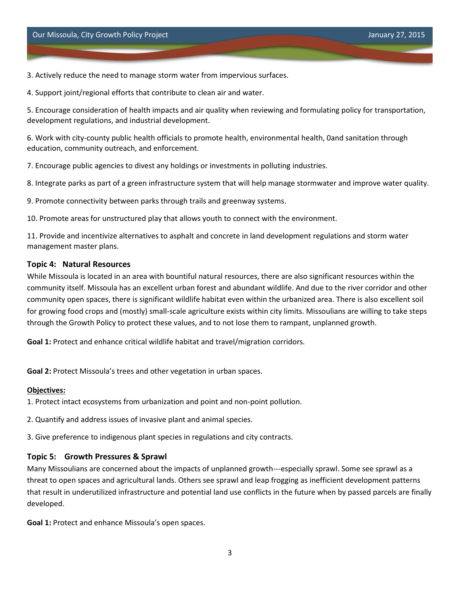3. Actively reduce the need to manage storm water from impervious surfaces.

4. Support joint/regional efforts that contribute to clean air and water.

5. Encourage consideration of health impacts and air quality when reviewing and formulating policy for transportation, development regulations, and industrial development.

6. Work with city-county public health officials to promote health, environmental health, 0and sanitation through education, community outreach, and enforcement.

7. Encourage public agencies to divest any holdings or investments in polluting industries.

8. Integrate parks as part of a green infrastructure system that will help manage stormwater and improve water quality.

9. Promote connectivity between parks through trails and greenway systems.

10. Promote areas for unstructured play that allows youth to connect with the environment.

11. Provide and incentivize alternatives to asphalt and concrete in land development regulations and storm water management master plans.

## **Topic 4: Natural Resources**

While Missoula is located in an area with bountiful natural resources, there are also significant resources within the community itself. Missoula has an excellent urban forest and abundant wildlife. And due to the river corridor and other community open spaces, there is significant wildlife habitat even within the urbanized area. There is also excellent soil for growing food crops and (mostly) small-scale agriculture exists within city limits. Missoulians are willing to take steps through the Growth Policy to protect these values, and to not lose them to rampant, unplanned growth.

**Goal 1:** Protect and enhance critical wildlife habitat and travel/migration corridors.

**Goal 2:** Protect Missoula's trees and other vegetation in urban spaces.

#### **Objectives:**

1. Protect intact ecosystems from urbanization and point and non-point pollution.

2. Quantify and address issues of invasive plant and animal species.

3. Give preference to indigenous plant species in regulations and city contracts.

#### **Topic 5: Growth Pressures & Sprawl**

Many Missoulians are concerned about the impacts of unplanned growth---especially sprawl. Some see sprawl as a threat to open spaces and agricultural lands. Others see sprawl and leap frogging as inefficient development patterns that result in underutilized infrastructure and potential land use conflicts in the future when by passed parcels are finally developed.

**Goal 1:** Protect and enhance Missoula's open spaces.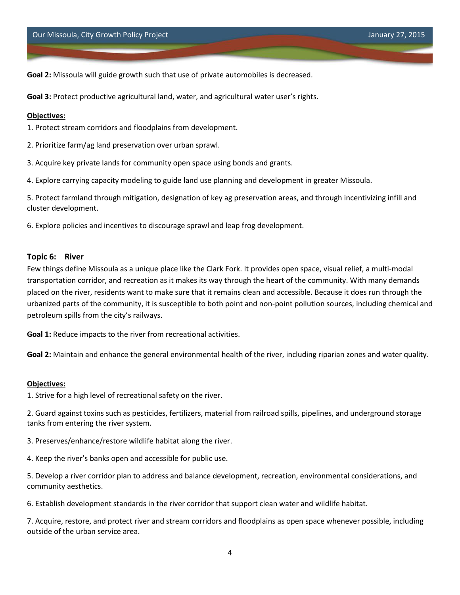**Goal 2:** Missoula will guide growth such that use of private automobiles is decreased.

**Goal 3:** Protect productive agricultural land, water, and agricultural water user's rights.

#### **Objectives:**

1. Protect stream corridors and floodplains from development.

- 2. Prioritize farm/ag land preservation over urban sprawl.
- 3. Acquire key private lands for community open space using bonds and grants.

4. Explore carrying capacity modeling to guide land use planning and development in greater Missoula.

5. Protect farmland through mitigation, designation of key ag preservation areas, and through incentivizing infill and cluster development.

6. Explore policies and incentives to discourage sprawl and leap frog development.

#### **Topic 6: River**

Few things define Missoula as a unique place like the Clark Fork. It provides open space, visual relief, a multi-modal transportation corridor, and recreation as it makes its way through the heart of the community. With many demands placed on the river, residents want to make sure that it remains clean and accessible. Because it does run through the urbanized parts of the community, it is susceptible to both point and non-point pollution sources, including chemical and petroleum spills from the city's railways.

**Goal 1:** Reduce impacts to the river from recreational activities.

**Goal 2:** Maintain and enhance the general environmental health of the river, including riparian zones and water quality.

#### **Objectives:**

1. Strive for a high level of recreational safety on the river.

2. Guard against toxins such as pesticides, fertilizers, material from railroad spills, pipelines, and underground storage tanks from entering the river system.

3. Preserves/enhance/restore wildlife habitat along the river.

4. Keep the river's banks open and accessible for public use.

5. Develop a river corridor plan to address and balance development, recreation, environmental considerations, and community aesthetics.

6. Establish development standards in the river corridor that support clean water and wildlife habitat.

7. Acquire, restore, and protect river and stream corridors and floodplains as open space whenever possible, including outside of the urban service area.